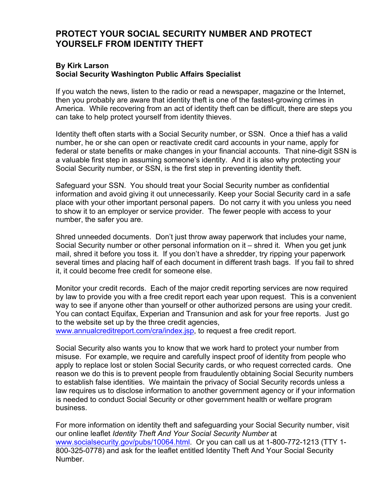## **PROTECT YOUR SOCIAL SECURITY NUMBER AND PROTECT YOURSELF FROM IDENTITY THEFT**

## **By Kirk Larson Social Security Washington Public Affairs Specialist**

If you watch the news, listen to the radio or read a newspaper, magazine or the Internet, then you probably are aware that identity theft is one of the fastest-growing crimes in America. While recovering from an act of identity theft can be difficult, there are steps you can take to help protect yourself from identity thieves.

Identity theft often starts with a Social Security number, or SSN. Once a thief has a valid number, he or she can open or reactivate credit card accounts in your name, apply for federal or state benefits or make changes in your financial accounts. That nine-digit SSN is a valuable first step in assuming someone's identity. And it is also why protecting your Social Security number, or SSN, is the first step in preventing identity theft.

Safeguard your SSN. You should treat your Social Security number as confidential information and avoid giving it out unnecessarily. Keep your Social Security card in a safe place with your other important personal papers. Do not carry it with you unless you need to show it to an employer or service provider. The fewer people with access to your number, the safer you are.

Shred unneeded documents. Don't just throw away paperwork that includes your name, Social Security number or other personal information on it – shred it. When you get junk mail, shred it before you toss it. If you don't have a shredder, try ripping your paperwork several times and placing half of each document in different trash bags. If you fail to shred it, it could become free credit for someone else.

Monitor your credit records. Each of the major credit reporting services are now required by law to provide you with a free credit report each year upon request. This is a convenient way to see if anyone other than yourself or other authorized persons are using your credit. You can contact Equifax, Experian and Transunion and ask for your free reports. Just go to the website set up by the three credit agencies,

www.annualcreditreport.com/cra/index.jsp, to request a free credit report.

Social Security also wants you to know that we work hard to protect your number from misuse. For example, we require and carefully inspect proof of identity from people who apply to replace lost or stolen Social Security cards, or who request corrected cards. One reason we do this is to prevent people from fraudulently obtaining Social Security numbers to establish false identities. We maintain the privacy of Social Security records unless a law requires us to disclose information to another government agency or if your information is needed to conduct Social Security or other government health or welfare program business.

For more information on identity theft and safeguarding your Social Security number, visit our online leaflet *Identity Theft And Your Social Security Number* at www.socialsecurity.gov/pubs/10064.html. Or you can call us at 1-800-772-1213 (TTY 1-800-325-0778) and ask for the leaflet entitled Identity Theft And Your Social Security Number.